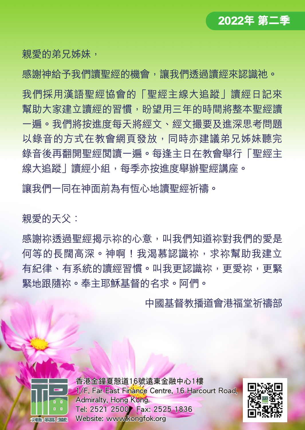

親愛的弟兄姊妹,

感謝神給予我們讀聖經的機會,讓我們透過讀經來認識祂。

我們採用漢語聖經協會的「聖經主線大追蹤」讀經日記來 幫助大家建立讀經的習慣,盼望用三年的時間將整本聖經讀 一遍。我們將按進度每天將經文、經文撮要及進深思考問題 以錄音的方式在教會網頁發放,同時亦建議弟兄姊妹聽完 錄音後再翻開聖經閱讀一遍。每逢主日在教會舉行「聖經主 線大追蹤|讀經小組,每季亦按進度舉辦聖經講座。

讓我們一同在神面前為有恆心地讀聖經祈禱。

親愛的天父:

感謝祢透過聖經揭示祢的心意,叫我們知道祢對我們的愛是 何等的長闊高深。神啊!我渴慕認識祢,求祢幫助我建立 有紀律、有系統的讀經習慣。叫我更認識祢,更愛祢,更緊 緊地跟隨祢。奉主耶穌基督的名求。阿們。

中國基督教播道會港福堂祈禱部



香港金鐘夏慤道16號遠東金融中心1樓 1/F, Far East Finance Centre, 16 Harcourt Road. Admiralty, Hong Kong. Tel: 2521 2500 Fax: 2525 1836 Website: www.kongfok.org

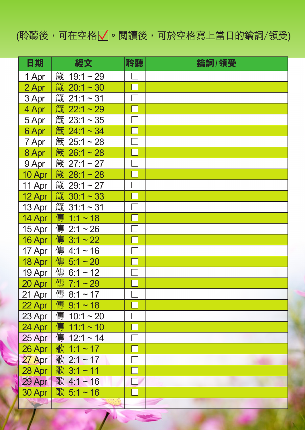## (聆聽後,可在空格 了。閲讀後,可於空格寫上當日的鑰詞/領受)

| 日期         | 經文                  | 聆聽 | 鑰詞/領受 |
|------------|---------------------|----|-------|
| 1 Apr      | 箴 19:1~29           |    |       |
| 2 Apr      | 箴 20:1~30           |    |       |
| 3 Apr      | 箴 21:1~31           |    |       |
| 4 Apr      | 箴 22:1~29           |    |       |
| 5 Apr      | 箴 23:1~35           |    |       |
| 6 Apr      | 箴 24:1~34           |    |       |
| 7 Apr      | 箴 25:1~28           |    |       |
| 8 Apr      | 箴 26:1~28           |    |       |
| 9 Apr      | 箴 27:1~27           |    |       |
| 10 Apr $ $ | 箴 28:1~28           |    |       |
| 11 Apr     | 箴 29:1~27           |    |       |
| 12 Apr     | 箴 30:1~33           |    |       |
| 13 Apr     | 箴 31:1~31           |    |       |
| 14 Apr     | 傳 1:1~18            |    |       |
| 15 Apr     | 傳 2:1~26            |    |       |
| 16 Apr $ $ | 傳 3:1~22            |    |       |
| 17 Apr     | 傳 4:1~16            |    |       |
| 18 Apr     | 傳 5:1~20            |    |       |
| 19 Apr     | 傳 6:1~12            |    |       |
| 20 Apr     | 傳 7:1~29            |    |       |
| 21 Apr     | 傳 8:1~17            |    |       |
| 22 Apr $ $ | 傳 9:1~18            |    |       |
| 23 Apr $ $ | 傳 10:1~20           |    |       |
| 24 Apr     | 傳<br>$11:1 \sim 10$ |    |       |
| 25 Apr     | 傳 12:1~14           |    |       |
| 26 Apr     | 歌 1:1~17            |    |       |
| 27 Apr     | 歌 2:1~17            |    |       |
| 28 Apr     | 歌 3:1~11            |    |       |
| 29 Apr     | 歌 4:1~16            |    |       |
| 30 Apr     | 歌 5:1~16            |    |       |
|            |                     |    |       |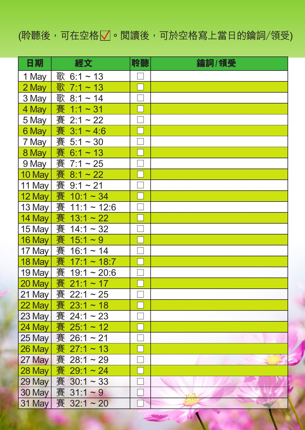## (聆聽後,可在空格 了。閲讀後,可於空格寫上當日的鑰詞/領受)

| 日期            | 經文                    | 聆聽 | 鑰詞/領受 |
|---------------|-----------------------|----|-------|
| 1 May         | 歌<br>$6:1 \sim 13$    |    |       |
| 2 May         | 歌<br>$7:1 \sim 13$    |    |       |
| 3 May         | 歌<br>$8:1 \sim 14$    |    |       |
| 4 May         | 賽<br>$1:1 - 31$       |    |       |
| 5 May         | 賽 2:1~22              |    |       |
| 6 May         | 賽<br>$3:1 - 4:6$      |    |       |
| 7 May         | 賽<br>$5:1 \sim 30$    |    |       |
| 8 May         | 賽 6:1~13              |    |       |
| 9 May         | 賽<br>$7:1 \sim 25$    |    |       |
| 10 May        | 賽<br>$8:1 - 22$       |    |       |
| 11 May        | 賽 9:1~21              |    |       |
| 12 May        | 賽 10:1~34             |    |       |
| 13 May        | 賽<br>$11:1 - 12:6$    |    |       |
| $14$ May      | 賽<br>$13:1 \sim 22$   |    |       |
| 15 May        | 賽 14:1~32             |    |       |
| 16 May        | 賽<br>$15:1 \sim 9$    |    |       |
| 17 May        | 賽 16:1~14             |    |       |
| 18 May        | 賽 17:1~18:7           |    |       |
| 19 May        | 賽<br>$19:1 \sim 20:6$ |    |       |
| 20 May        | 賽<br>$21:1 \sim 17$   |    |       |
| 21 May        | 賽 22:1~25             |    |       |
| 22 May        | 賽 23:1~18             |    |       |
| 23 May        | 賽 24:1~23             |    |       |
| $24$ May      | 賽 25:1~12             |    |       |
| $25$ May      | 賽 26:1~21             |    |       |
| 26 May        | 賽<br>$27:1 \sim 13$   |    |       |
| 27 May        | 賽 28:1~29             |    |       |
| 28 May        | 賽 29:1~24             |    |       |
| 29 May        | 賽 30:1~33             |    |       |
| <b>30 May</b> | 賽 31:1~9              |    |       |
| 31 May        | 賽 32:1~20             |    |       |